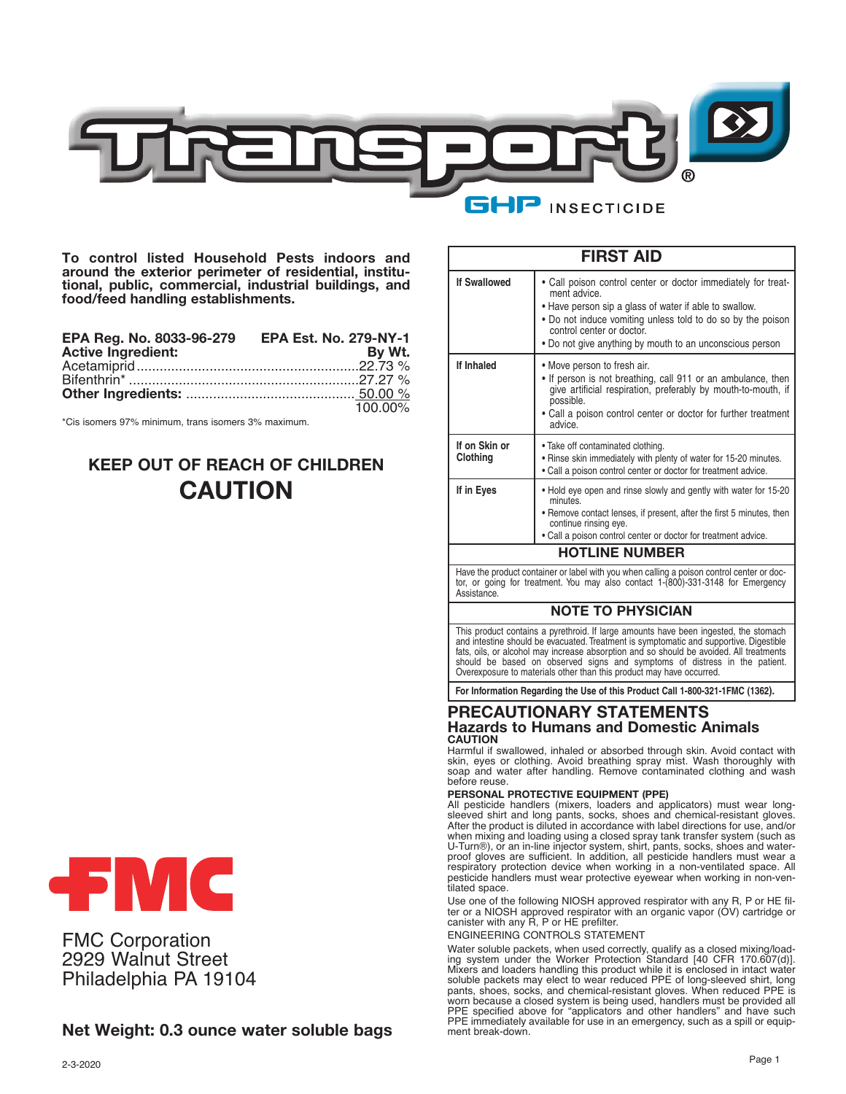

**To control listed Household Pests indoors and around the exterior perimeter of residential, institutional, public, commercial, industrial buildings, and food/feed handling establishments.**

| EPA Reg. No. 8033-96-279 EPA Est. No. 279-NY-1 |         |
|------------------------------------------------|---------|
| <b>Active Ingredient:</b>                      | By Wt.  |
|                                                |         |
|                                                |         |
|                                                |         |
|                                                | 100.00% |

\*Cis isomers 97% minimum, trans isomers 3% maximum.

# **KEEP OUT OF REACH OF CHILDREN CAUTION**



FMC Corporation 2929 Walnut Street Philadelphia PA 19104

# **Net Weight: 0.3 ounce water soluble bags**

|                                                                                                                                                                                                                                                 | <b>FIRST AID</b>                                                                                                                                                                                                                                                                                                                                                                                                                                                                                                                                                                                                                                                                                                                                                         |  |
|-------------------------------------------------------------------------------------------------------------------------------------------------------------------------------------------------------------------------------------------------|--------------------------------------------------------------------------------------------------------------------------------------------------------------------------------------------------------------------------------------------------------------------------------------------------------------------------------------------------------------------------------------------------------------------------------------------------------------------------------------------------------------------------------------------------------------------------------------------------------------------------------------------------------------------------------------------------------------------------------------------------------------------------|--|
| <b>If Swallowed</b>                                                                                                                                                                                                                             | • Call poison control center or doctor immediately for treat-<br>ment advice.<br>• Have person sip a glass of water if able to swallow.<br>• Do not induce vomiting unless told to do so by the poison<br>control center or doctor.<br>• Do not give anything by mouth to an unconscious person                                                                                                                                                                                                                                                                                                                                                                                                                                                                          |  |
| If Inhaled                                                                                                                                                                                                                                      | • Move person to fresh air.<br>• If person is not breathing, call 911 or an ambulance, then<br>give artificial respiration, preferably by mouth-to-mouth, if<br>possible.<br>• Call a poison control center or doctor for further treatment<br>advice.                                                                                                                                                                                                                                                                                                                                                                                                                                                                                                                   |  |
| If on Skin or<br>Clothing                                                                                                                                                                                                                       | . Take off contaminated clothing.<br>. Rinse skin immediately with plenty of water for 15-20 minutes.<br>• Call a poison control center or doctor for treatment advice.                                                                                                                                                                                                                                                                                                                                                                                                                                                                                                                                                                                                  |  |
| If in Eyes                                                                                                                                                                                                                                      | • Hold eye open and rinse slowly and gently with water for 15-20<br>minutes.<br>• Remove contact lenses, if present, after the first 5 minutes, then<br>continue rinsing eye.<br>. Call a poison control center or doctor for treatment advice.                                                                                                                                                                                                                                                                                                                                                                                                                                                                                                                          |  |
|                                                                                                                                                                                                                                                 | <b>HOTLINE NUMBER</b>                                                                                                                                                                                                                                                                                                                                                                                                                                                                                                                                                                                                                                                                                                                                                    |  |
| Assistance.                                                                                                                                                                                                                                     | Have the product container or label with you when calling a poison control center or doc-<br>tor, or going for treatment. You may also contact 1-(800)-331-3148 for Emergency                                                                                                                                                                                                                                                                                                                                                                                                                                                                                                                                                                                            |  |
|                                                                                                                                                                                                                                                 | <b>NOTE TO PHYSICIAN</b>                                                                                                                                                                                                                                                                                                                                                                                                                                                                                                                                                                                                                                                                                                                                                 |  |
|                                                                                                                                                                                                                                                 | This product contains a pyrethroid. If large amounts have been ingested, the stomach<br>and intestine should be evacuated. Treatment is symptomatic and supportive. Digestible<br>fats, oils, or alcohol may increase absorption and so should be avoided. All treatments<br>should be based on observed signs and symptoms of distress in the patient.<br>Overexposure to materials other than this product may have occurred.                                                                                                                                                                                                                                                                                                                                          |  |
|                                                                                                                                                                                                                                                 | For Information Regarding the Use of this Product Call 1-800-321-1FMC (1362).                                                                                                                                                                                                                                                                                                                                                                                                                                                                                                                                                                                                                                                                                            |  |
| <b>CAUTION</b>                                                                                                                                                                                                                                  | PRECAUTIONARY STATEMENTS<br><b>Hazards to Humans and Domestic Animals</b>                                                                                                                                                                                                                                                                                                                                                                                                                                                                                                                                                                                                                                                                                                |  |
| Harmful if swallowed, inhaled or absorbed through skin. Avoid contact with<br>skin, eyes or clothing. Avoid breathing spray mist. Wash thoroughly with<br>soap and water after handling. Remove contaminated clothing and wash<br>before reuse. |                                                                                                                                                                                                                                                                                                                                                                                                                                                                                                                                                                                                                                                                                                                                                                          |  |
| tilated space.                                                                                                                                                                                                                                  | PERSONAL PROTECTIVE EQUIPMENT (PPE)<br>All pesticide handlers (mixers, loaders and applicators) must wear long-<br>sleeved shirt and long pants, socks, shoes and chemical-resistant gloves.<br>After the product is diluted in accordance with label directions for use, and/or<br>when mixing and loading using a closed spray tank transfer system (such as<br>U-Turn®), or an in-line injector system, shirt, pants, socks, shoes and water-<br>proof gloves are sufficient. In addition, all pesticide handlers must wear a<br>respiratory protection device when working in a non-ventilated space. All<br>pesticide handlers must wear protective eyewear when working in non-ven-<br>Use one of the following NIOSH approved respirator with any R. P or HE fil- |  |

Use one of the following NIOSH approved respirator with any R, P or HE fil-ter or a NIOSH approved respirator with an organic vapor (OV) cartridge or canister with any R, P or HE prefilter.

ENGINEERING CONTROLS STATEMENT

Water soluble packets, when used correctly, qualify as a closed mixing/load-ing system under the Worker Protection Standard [40 CFR 170.607(d)]. Mixers and loaders handling this product while it is enclosed in intact water soluble packets may elect to wear reduced PPE of long-sleeved shirt, long pants, shoes, socks, and chemical-resistant gloves. When reduced PPE is worn because a closed system is being used, handlers must be provided all PPE specified above for "applicators and other handlers" and have such PPE immediately available for use in an emergency, such as a spill or equipment break-down.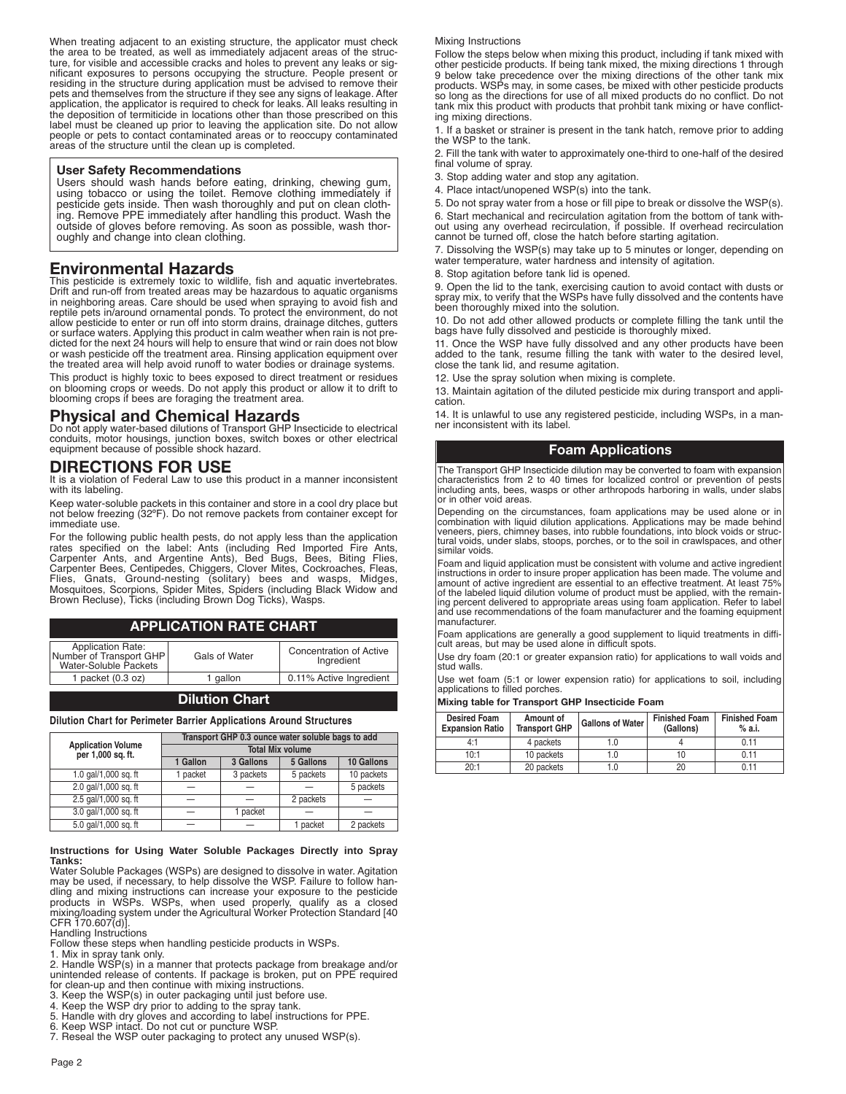When treating adjacent to an existing structure, the applicator must check the area to be treated, as well as immediately adjacent areas of the struc-ture, for visible and accessible cracks and holes to prevent any leaks or significant exposures to persons occupying the structure. People present or residing in the structure during application must be advised to remove their pets and themselves from the structure if they see any signs of leakage. After application, the applicator is required to check for leaks. All leaks resulting in the deposition of termiticide in locations other than those prescribed on this label must be cleaned up prior to leaving the application site. Do not allow people or pets to contact contaminated areas or to reoccupy contaminated areas of the structure until the clean up is completed.

#### **User Safety Recommendations**

Users should wash hands before eating, drinking, chewing gum, using tobacco or using the toilet. Remove clothing immediately if pesticide gets inside. Then wash thoroughly and put on clean clothing. Remove PPE immediately after handling this product. Wash the outside of gloves before removing. As soon as possible, wash thoroughly and change into clean clothing.

### **Environmental Hazards**

This pesticide is extremely toxic to wildlife, fish and aquatic invertebrates. Drift and run-off from treated areas may be hazardous to aquatic organisms in neighboring areas. Care should be used when spraying to avoid fish and reptile pets in/around ornamental ponds. To protect the environment, do not allow pesticide to enter or run off into storm drains, drainage ditches, gutters or surface waters. Applying this product in calm weather when rain is not pre-dicted for the next 24 hours will help to ensure that wind or rain does not blow or wash pesticide off the treatment area. Rinsing application equipment over the treated area will help avoid runoff to water bodies or drainage systems.

This product is highly toxic to bees exposed to direct treatment or residues on blooming crops or weeds. Do not apply this product or allow it to drift to blooming crops if bees are foraging the treatment area.

# **Physical and Chemical Hazards**

Do not apply water-based dilutions of Transport GHP Insecticide to electrical conduits, motor housings, junction boxes, switch boxes or other electrical equipment because of possible shock hazard.

# **DIRECTIONS FOR USE**

It is a violation of Federal Law to use this product in a manner inconsistent with its labeling.

Keep water-soluble packets in this container and store in a cool dry place but not below freezing (32ºF). Do not remove packets from container except for immediate use.

For the following public health pests, do not apply less than the application<br>rates specified on the label: Ants (including Red Imported Fire Ants,<br>Carpenter Ants, and Argentine Ants), Bed Bugs, Bees, Bit Flies, Gnats, Ground-nesting (solitary) bees and wasps, Midges, Mosquitoes, Scorpions, Spider Mites, Spiders (including Black Widow and Brown Recluse), Ticks (including Brown Dog Ticks), Wasps.

### **APPLICATION RATE CHART**

| Application Rate:<br>Number of Transport GHP<br>Water-Soluble Packets | Gals of Water | Concentration of Active<br>Ingredient |
|-----------------------------------------------------------------------|---------------|---------------------------------------|
| 1 packet $(0.3 oz)$                                                   | 1 gallon      | 0.11% Active Ingredient               |
|                                                                       |               |                                       |

### **Dilution Chart**

**Dilution Chart for Perimeter Barrier Applications Around Structures**

|                                                | Transport GHP 0.3 ounce water soluble bags to add |           |           |            |
|------------------------------------------------|---------------------------------------------------|-----------|-----------|------------|
| <b>Application Volume</b><br>per 1,000 sq. ft. | <b>Total Mix volume</b>                           |           |           |            |
|                                                | 1 Gallon                                          | 3 Gallons | 5 Gallons | 10 Gallons |
| 1.0 gal/1,000 sq. ft                           | 1 packet                                          | 3 packets | 5 packets | 10 packets |
| 2.0 gal/1,000 sg. ft                           |                                                   |           |           | 5 packets  |
| 2.5 gal/1,000 sq. ft                           |                                                   |           | 2 packets |            |
| 3.0 gal/1,000 sq. ft                           |                                                   | packet    |           |            |
| 5.0 gal/1,000 sg. ft                           |                                                   |           | 1 packet  | 2 packets  |

#### **Instructions for Using Water Soluble Packages Directly into Spray Tanks:**

Water Soluble Packages (WSPs) are designed to dissolve in water. Agitation may be used, if necessary, to help dissolve the WSP. Failure to follow handling and mixing instructions can increase your exposure to the pesticide products in WSPs. WSPs, when used properly, qualify as a closed mixing/loading system under the Agricultural Worker Protection Standard [40 CFR 170.607(d)].

Handling Instructions

Follow these steps when handling pesticide products in WSPs.

1. Mix in spray tank only.<br>2. Handle WSP(s) in a manner that protects package from breakage and/or<br>unintended release of contents. If package is broken, put on PPE required<br>for clean-up and then continue with mixing instru

3. Keep the WSP(s) in outer packaging until just before use. 4. Keep the WSP dry prior to adding to the spray tank.

- 5. Handle with dry gloves and according to label instructions for PPE. 6. Keep WSP intact. Do not cut or puncture WSP.
- 
- 7. Reseal the WSP outer packaging to protect any unused WSP(s).

#### Mixing Instructions

Follow the steps below when mixing this product, including if tank mixed with other pesticide products. If being tank mixed, the mixing directions 1 through 9 below take precedence over the mixing directions of the other tank mix<br>products. WSPs may, in some cases, be mixed with other pesticide products<br>so long as the directions for use of all mixed products do no conflict. Do ing mixing directions.

1. If a basket or strainer is present in the tank hatch, remove prior to adding the WSP to the tank.

2. Fill the tank with water to approximately one-third to one-half of the desired final volume of spray.

3. Stop adding water and stop any agitation.

4. Place intact/unopened WSP(s) into the tank.

5. Do not spray water from a hose or fill pipe to break or dissolve the WSP(s). 6. Start mechanical and recirculation agitation from the bottom of tank with-out using any overhead recirculation, if possible. If overhead recirculation cannot be turned off, close the hatch before starting agitation.

7. Dissolving the WSP(s) may take up to 5 minutes or longer, depending on water temperature, water hardness and intensity of agitation.

8. Stop agitation before tank lid is opened.

9. Open the lid to the tank, exercising caution to avoid contact with dusts or spray mix, to verify that the WSPs have fully dissolved and the contents have been thoroughly mixed into the solution.

10. Do not add other allowed products or complete filling the tank until the bags have fully dissolved and pesticide is thoroughly mixed.

11. Once the WSP have fully dissolved and any other products have been added to the tank, resume filling the tank with water to the desired level, close the tank lid, and resume agitation.

12. Use the spray solution when mixing is complete.

13. Maintain agitation of the diluted pesticide mix during transport and application.

14. It is unlawful to use any registered pesticide, including WSPs, in a manner inconsistent with its label.

### **Foam Applications**

The Transport GHP Insecticide dilution may be converted to foam with expansion characteristics from 2 to 40 times for localized control or prevention of pests including ants, bees, wasps or other arthropods harboring in walls, under slabs or in other void areas.

Depending on the circumstances, foam applications may be used alone or in<br>combination with liquid dilution applications. Applications may be made behind<br>veneers, piers, chimney bases, into rubble foundations, into block vo tural voids, under slabs, stoops, porches, or to the soil in crawlspaces, and other similar voids.

Foam and liquid application must be consistent with volume and active ingredient instructions in order to insure proper application has been made. The volume and amount of active ingredient are essential to an effective treatment. At least 75% of the labeled liquid dilution volume of product must be applied, with the remaining percent delivered to appropriate areas using foam application. Refer to label and use recommendations of the foam manufacturer and the foaming equipment manufacturer.

Foam applications are generally a good supplement to liquid treatments in diffi-cult areas, but may be used alone in difficult spots.

Use dry foam (20:1 or greater expansion ratio) for applications to wall voids and stud walls.

Use wet foam (5:1 or lower expension ratio) for applications to soil, including applications to filled porches.

**Mixing table for Transport GHP Insecticide Foam**

| <b>Desired Foam</b><br><b>Expansion Ratio</b> | Amount of<br><b>Transport GHP</b> | <b>Gallons of Water</b> | <b>Finished Foam</b><br>(Gallons) | <b>Finished Foam</b><br>% a.i. |
|-----------------------------------------------|-----------------------------------|-------------------------|-----------------------------------|--------------------------------|
| 4:1                                           | 4 packets                         | 1.0                     |                                   | 0.11                           |
| 10:1                                          | 10 packets                        | 1.0                     | 10                                | 0.11                           |
| 20:1                                          | 20 packets                        | 1.0                     | 20                                | 0.11                           |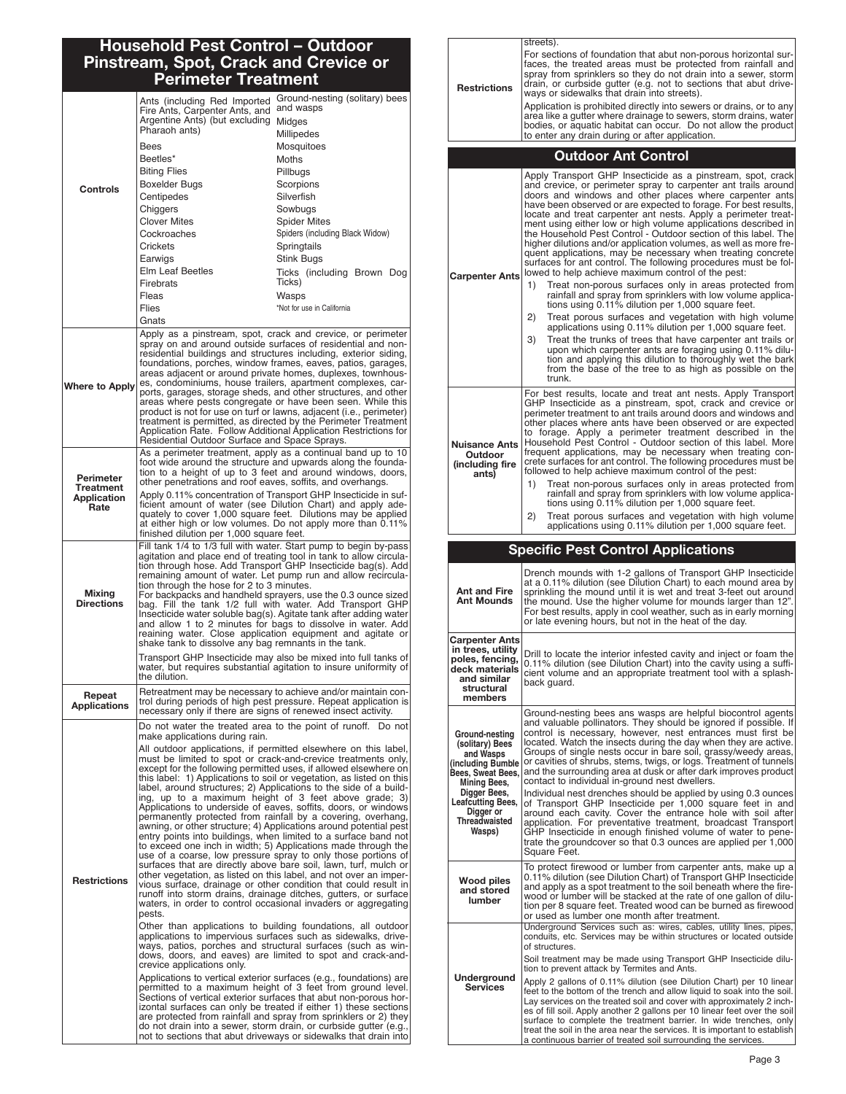# **Household Pest Control – Outdoor Pinstream, Spot, Crack and Crevice or Perimeter Treatment**

|                                                | Ants (including Red Imported<br>Fire Ants, Carpenter Ants, and<br>Argentine Ants) (but excluding                                                                                                                                                                                                                                                                                                                                                                                                                                                                                                                                                                                                                                                                                            | Ground-nesting (solitary) bees<br>and wasps<br>Midges                                                                                                                                                                                                                                                                                                                                                                                                                                                                                                                                                                                                                                                                                                                                                                                                                                                                                                                                                                                                                                                                                                                                                                                                                                                                                                                                                                                                                                                                                                                     |  |
|------------------------------------------------|---------------------------------------------------------------------------------------------------------------------------------------------------------------------------------------------------------------------------------------------------------------------------------------------------------------------------------------------------------------------------------------------------------------------------------------------------------------------------------------------------------------------------------------------------------------------------------------------------------------------------------------------------------------------------------------------------------------------------------------------------------------------------------------------|---------------------------------------------------------------------------------------------------------------------------------------------------------------------------------------------------------------------------------------------------------------------------------------------------------------------------------------------------------------------------------------------------------------------------------------------------------------------------------------------------------------------------------------------------------------------------------------------------------------------------------------------------------------------------------------------------------------------------------------------------------------------------------------------------------------------------------------------------------------------------------------------------------------------------------------------------------------------------------------------------------------------------------------------------------------------------------------------------------------------------------------------------------------------------------------------------------------------------------------------------------------------------------------------------------------------------------------------------------------------------------------------------------------------------------------------------------------------------------------------------------------------------------------------------------------------------|--|
|                                                | Pharaoh ants)                                                                                                                                                                                                                                                                                                                                                                                                                                                                                                                                                                                                                                                                                                                                                                               | Millipedes                                                                                                                                                                                                                                                                                                                                                                                                                                                                                                                                                                                                                                                                                                                                                                                                                                                                                                                                                                                                                                                                                                                                                                                                                                                                                                                                                                                                                                                                                                                                                                |  |
|                                                | Bees                                                                                                                                                                                                                                                                                                                                                                                                                                                                                                                                                                                                                                                                                                                                                                                        | Mosquitoes                                                                                                                                                                                                                                                                                                                                                                                                                                                                                                                                                                                                                                                                                                                                                                                                                                                                                                                                                                                                                                                                                                                                                                                                                                                                                                                                                                                                                                                                                                                                                                |  |
|                                                | Beetles*<br><b>Biting Flies</b>                                                                                                                                                                                                                                                                                                                                                                                                                                                                                                                                                                                                                                                                                                                                                             | Moths<br>Pillbugs                                                                                                                                                                                                                                                                                                                                                                                                                                                                                                                                                                                                                                                                                                                                                                                                                                                                                                                                                                                                                                                                                                                                                                                                                                                                                                                                                                                                                                                                                                                                                         |  |
|                                                | <b>Boxelder Bugs</b>                                                                                                                                                                                                                                                                                                                                                                                                                                                                                                                                                                                                                                                                                                                                                                        | Scorpions                                                                                                                                                                                                                                                                                                                                                                                                                                                                                                                                                                                                                                                                                                                                                                                                                                                                                                                                                                                                                                                                                                                                                                                                                                                                                                                                                                                                                                                                                                                                                                 |  |
| Controls                                       | Centipedes                                                                                                                                                                                                                                                                                                                                                                                                                                                                                                                                                                                                                                                                                                                                                                                  | Silverfish                                                                                                                                                                                                                                                                                                                                                                                                                                                                                                                                                                                                                                                                                                                                                                                                                                                                                                                                                                                                                                                                                                                                                                                                                                                                                                                                                                                                                                                                                                                                                                |  |
|                                                | Chiggers                                                                                                                                                                                                                                                                                                                                                                                                                                                                                                                                                                                                                                                                                                                                                                                    | Sowbugs                                                                                                                                                                                                                                                                                                                                                                                                                                                                                                                                                                                                                                                                                                                                                                                                                                                                                                                                                                                                                                                                                                                                                                                                                                                                                                                                                                                                                                                                                                                                                                   |  |
|                                                | <b>Clover Mites</b><br>Cockroaches                                                                                                                                                                                                                                                                                                                                                                                                                                                                                                                                                                                                                                                                                                                                                          | <b>Spider Mites</b><br>Spiders (including Black Widow)                                                                                                                                                                                                                                                                                                                                                                                                                                                                                                                                                                                                                                                                                                                                                                                                                                                                                                                                                                                                                                                                                                                                                                                                                                                                                                                                                                                                                                                                                                                    |  |
|                                                | Crickets                                                                                                                                                                                                                                                                                                                                                                                                                                                                                                                                                                                                                                                                                                                                                                                    | Springtails                                                                                                                                                                                                                                                                                                                                                                                                                                                                                                                                                                                                                                                                                                                                                                                                                                                                                                                                                                                                                                                                                                                                                                                                                                                                                                                                                                                                                                                                                                                                                               |  |
|                                                | Earwigs                                                                                                                                                                                                                                                                                                                                                                                                                                                                                                                                                                                                                                                                                                                                                                                     | Stink Bugs                                                                                                                                                                                                                                                                                                                                                                                                                                                                                                                                                                                                                                                                                                                                                                                                                                                                                                                                                                                                                                                                                                                                                                                                                                                                                                                                                                                                                                                                                                                                                                |  |
|                                                | <b>Elm Leaf Beetles</b><br>Firebrats                                                                                                                                                                                                                                                                                                                                                                                                                                                                                                                                                                                                                                                                                                                                                        | Ticks (including Brown Dog<br>Ticks)                                                                                                                                                                                                                                                                                                                                                                                                                                                                                                                                                                                                                                                                                                                                                                                                                                                                                                                                                                                                                                                                                                                                                                                                                                                                                                                                                                                                                                                                                                                                      |  |
|                                                | Fleas                                                                                                                                                                                                                                                                                                                                                                                                                                                                                                                                                                                                                                                                                                                                                                                       | Wasps                                                                                                                                                                                                                                                                                                                                                                                                                                                                                                                                                                                                                                                                                                                                                                                                                                                                                                                                                                                                                                                                                                                                                                                                                                                                                                                                                                                                                                                                                                                                                                     |  |
|                                                | Flies                                                                                                                                                                                                                                                                                                                                                                                                                                                                                                                                                                                                                                                                                                                                                                                       | *Not for use in California                                                                                                                                                                                                                                                                                                                                                                                                                                                                                                                                                                                                                                                                                                                                                                                                                                                                                                                                                                                                                                                                                                                                                                                                                                                                                                                                                                                                                                                                                                                                                |  |
|                                                | Gnats                                                                                                                                                                                                                                                                                                                                                                                                                                                                                                                                                                                                                                                                                                                                                                                       |                                                                                                                                                                                                                                                                                                                                                                                                                                                                                                                                                                                                                                                                                                                                                                                                                                                                                                                                                                                                                                                                                                                                                                                                                                                                                                                                                                                                                                                                                                                                                                           |  |
| <b>Where to Apply</b>                          | Apply as a pinstream, spot, crack and crevice, or perimeter<br>spray on and around outside surfaces of residential and non-<br>residential buildings and structures including, exterior siding,<br>foundations, porches, window frames, eaves, patios, garages,<br>areas adjacent or around private homes, duplexes, townhous-<br>es, condominiums, house trailers, apartment complexes, car-<br>ports, garages, storage sheds, and other structures, and other<br>areas where pests congregate or have been seen. While this<br>product is not for use on turf or lawns, adjacent (i.e., perimeter)<br>treatment is permitted, as directed by the Perimeter Treatment<br>Application Rate. Follow Additional Application Restrictions for<br>Residential Outdoor Surface and Space Sprays. |                                                                                                                                                                                                                                                                                                                                                                                                                                                                                                                                                                                                                                                                                                                                                                                                                                                                                                                                                                                                                                                                                                                                                                                                                                                                                                                                                                                                                                                                                                                                                                           |  |
| Perimeter                                      | other penetrations and roof eaves, soffits, and overhangs.                                                                                                                                                                                                                                                                                                                                                                                                                                                                                                                                                                                                                                                                                                                                  | As a perimeter treatment, apply as a continual band up to 10<br>foot wide around the structure and upwards along the founda-<br>tion to a height of up to 3 feet and around windows, doors,                                                                                                                                                                                                                                                                                                                                                                                                                                                                                                                                                                                                                                                                                                                                                                                                                                                                                                                                                                                                                                                                                                                                                                                                                                                                                                                                                                               |  |
| <b>Treatment</b><br><b>Application</b><br>Rate | Apply 0.11% concentration of Transport GHP Insecticide in suf-<br>ficient amount of water (see Dilution Chart) and apply ade-<br>quately to cover 1,000 square feet. Dilutions may be applied<br>at either high or low volumes. Do not apply more than 0.11%<br>finished dilution per 1,000 square feet.                                                                                                                                                                                                                                                                                                                                                                                                                                                                                    |                                                                                                                                                                                                                                                                                                                                                                                                                                                                                                                                                                                                                                                                                                                                                                                                                                                                                                                                                                                                                                                                                                                                                                                                                                                                                                                                                                                                                                                                                                                                                                           |  |
|                                                |                                                                                                                                                                                                                                                                                                                                                                                                                                                                                                                                                                                                                                                                                                                                                                                             | Fill tank 1/4 to 1/3 full with water. Start pump to begin by-pass                                                                                                                                                                                                                                                                                                                                                                                                                                                                                                                                                                                                                                                                                                                                                                                                                                                                                                                                                                                                                                                                                                                                                                                                                                                                                                                                                                                                                                                                                                         |  |
|                                                | agitation and place end of treating tool in tank to allow circula-<br>tion through hose. Add Transport GHP Insecticide bag(s). Add                                                                                                                                                                                                                                                                                                                                                                                                                                                                                                                                                                                                                                                          |                                                                                                                                                                                                                                                                                                                                                                                                                                                                                                                                                                                                                                                                                                                                                                                                                                                                                                                                                                                                                                                                                                                                                                                                                                                                                                                                                                                                                                                                                                                                                                           |  |
|                                                | remaining amount of water. Let pump run and allow recircula-<br>tion through the hose for 2 to 3 minutes.                                                                                                                                                                                                                                                                                                                                                                                                                                                                                                                                                                                                                                                                                   |                                                                                                                                                                                                                                                                                                                                                                                                                                                                                                                                                                                                                                                                                                                                                                                                                                                                                                                                                                                                                                                                                                                                                                                                                                                                                                                                                                                                                                                                                                                                                                           |  |
| Mixing<br><b>Directions</b>                    | For backpacks and handheld sprayers, use the 0.3 ounce sized                                                                                                                                                                                                                                                                                                                                                                                                                                                                                                                                                                                                                                                                                                                                |                                                                                                                                                                                                                                                                                                                                                                                                                                                                                                                                                                                                                                                                                                                                                                                                                                                                                                                                                                                                                                                                                                                                                                                                                                                                                                                                                                                                                                                                                                                                                                           |  |
|                                                | bag. Fill the tank 1/2 full with water. Add Transport GHP<br>Insecticide water soluble bag(s). Agitate tank after adding water                                                                                                                                                                                                                                                                                                                                                                                                                                                                                                                                                                                                                                                              |                                                                                                                                                                                                                                                                                                                                                                                                                                                                                                                                                                                                                                                                                                                                                                                                                                                                                                                                                                                                                                                                                                                                                                                                                                                                                                                                                                                                                                                                                                                                                                           |  |
|                                                | and allow 1 to 2 minutes for bags to dissolve in water. Add<br>reaining water. Close application equipment and agitate or                                                                                                                                                                                                                                                                                                                                                                                                                                                                                                                                                                                                                                                                   |                                                                                                                                                                                                                                                                                                                                                                                                                                                                                                                                                                                                                                                                                                                                                                                                                                                                                                                                                                                                                                                                                                                                                                                                                                                                                                                                                                                                                                                                                                                                                                           |  |
|                                                | shake tank to dissolve any bag remnants in the tank.                                                                                                                                                                                                                                                                                                                                                                                                                                                                                                                                                                                                                                                                                                                                        |                                                                                                                                                                                                                                                                                                                                                                                                                                                                                                                                                                                                                                                                                                                                                                                                                                                                                                                                                                                                                                                                                                                                                                                                                                                                                                                                                                                                                                                                                                                                                                           |  |
|                                                | Transport GHP Insecticide may also be mixed into full tanks of<br>water, but requires substantial agitation to insure uniformity of<br>the dilution.                                                                                                                                                                                                                                                                                                                                                                                                                                                                                                                                                                                                                                        |                                                                                                                                                                                                                                                                                                                                                                                                                                                                                                                                                                                                                                                                                                                                                                                                                                                                                                                                                                                                                                                                                                                                                                                                                                                                                                                                                                                                                                                                                                                                                                           |  |
| Repeat<br>Applications                         | Retreatment may be necessary to achieve and/or maintain con-<br>trol during periods of high pest pressure. Repeat application is<br>necessary only if there are signs of renewed insect activity.                                                                                                                                                                                                                                                                                                                                                                                                                                                                                                                                                                                           |                                                                                                                                                                                                                                                                                                                                                                                                                                                                                                                                                                                                                                                                                                                                                                                                                                                                                                                                                                                                                                                                                                                                                                                                                                                                                                                                                                                                                                                                                                                                                                           |  |
|                                                | make applications during rain.                                                                                                                                                                                                                                                                                                                                                                                                                                                                                                                                                                                                                                                                                                                                                              | Do not water the treated area to the point of runoff. Do not                                                                                                                                                                                                                                                                                                                                                                                                                                                                                                                                                                                                                                                                                                                                                                                                                                                                                                                                                                                                                                                                                                                                                                                                                                                                                                                                                                                                                                                                                                              |  |
| <b>Restrictions</b>                            | pests.<br>crevice applications only.                                                                                                                                                                                                                                                                                                                                                                                                                                                                                                                                                                                                                                                                                                                                                        | All outdoor applications, if permitted elsewhere on this label,<br>must be limited to spot or crack-and-crevice treatments only,<br>except for the following permitted uses, if allowed elsewhere on<br>this label: 1) Applications to soil or vegetation, as listed on this<br>label, around structures; 2) Applications to the side of a build-<br>ing, up to a maximum height of 3 feet above grade; 3)<br>Applications to underside of eaves, soffits, doors, or windows<br>permanently protected from rainfall by a covering, overhang,<br>awning, or other structure; 4) Applications around potential pest<br>entry points into buildings, when limited to a surface band not<br>to exceed one inch in width; 5) Applications made through the<br>use of a coarse, low pressure spray to only those portions of<br>surfaces that are directly above bare soil, lawn, turf, mulch or<br>other vegetation, as listed on this label, and not over an imper-<br>vious surface, drainage or other condition that could result in<br>runoff into storm drains, drainage ditches, gutters, or surface<br>waters, in order to control occasional invaders or aggregating<br>Other than applications to building foundations, all outdoor<br>applications to impervious surfaces such as sidewalks, drive-<br>ways, patios, porches and structural surfaces (such as win-<br>dows, doors, and eaves) are limited to spot and crack-and-<br>Applications to vertical exterior surfaces (e.g., foundations) are<br>permitted to a maximum height of 3 feet from ground level. |  |
|                                                |                                                                                                                                                                                                                                                                                                                                                                                                                                                                                                                                                                                                                                                                                                                                                                                             | Sections of vertical exterior surfaces that abut non-porous hor-<br>izontal surfaces can only be treated if either 1) these sections<br>are protected from rainfall and spray from sprinklers or 2) they<br>do not drain into a sewer, storm drain, or curbside gutter (e.g.,<br>not to sections that abut driveways or sidewalks that drain into                                                                                                                                                                                                                                                                                                                                                                                                                                                                                                                                                                                                                                                                                                                                                                                                                                                                                                                                                                                                                                                                                                                                                                                                                         |  |

| <b>Restrictions</b>                                                                                                                                                                                 | streets).<br>For sections of foundation that abut non-porous horizontal sur-<br>faces, the treated areas must be protected from rainfall and<br>spray from sprinklers so they do not drain into a sewer, storm<br>drain, or curbside gutter (e.g. not to sections that abut drive-<br>ways or sidewalks that drain into streets).<br>Application is prohibited directly into sewers or drains, or to any<br>area like a gutter where drainage to sewers, storm drains, water<br>bodies, or aquatic habitat can occur. Do not allow the product<br>to enter any drain during or after application.                                                                                                                                                                                                                                                                                                                                                                                                                                                                                                                                                                                                                                                                                                                  |
|-----------------------------------------------------------------------------------------------------------------------------------------------------------------------------------------------------|--------------------------------------------------------------------------------------------------------------------------------------------------------------------------------------------------------------------------------------------------------------------------------------------------------------------------------------------------------------------------------------------------------------------------------------------------------------------------------------------------------------------------------------------------------------------------------------------------------------------------------------------------------------------------------------------------------------------------------------------------------------------------------------------------------------------------------------------------------------------------------------------------------------------------------------------------------------------------------------------------------------------------------------------------------------------------------------------------------------------------------------------------------------------------------------------------------------------------------------------------------------------------------------------------------------------|
|                                                                                                                                                                                                     | <b>Outdoor Ant Control</b>                                                                                                                                                                                                                                                                                                                                                                                                                                                                                                                                                                                                                                                                                                                                                                                                                                                                                                                                                                                                                                                                                                                                                                                                                                                                                         |
| Carpenter Ants∣                                                                                                                                                                                     | Apply Transport GHP Insecticide as a pinstream, spot, crack<br>and crevice, or perimeter spray to carpenter ant trails around<br>doors and windows and other places where carpenter ants<br>have been observed or are expected to forage. For best results,<br>locate and treat carpenter ant nests. Apply a perimeter treat-<br>ment using either low or high volume applications described in<br>the Household Pest Control - Outdoor section of this label. The<br>higher dilutions and/or application volumes, as well as more fre-<br>quent applications, may be necessary when treating concrete<br>surfaces for ant control. The following procedures must be fol-<br>lowed to help achieve maximum control of the pest:<br>1)<br>Treat non-porous surfaces only in areas protected from<br>rainfall and spray from sprinklers with low volume applica-<br>tions using 0.11% dilution per 1,000 square feet.<br>Treat porous surfaces and vegetation with high volume<br>2)<br>applications using 0.11% dilution per 1,000 square feet.<br>3)<br>Treat the trunks of trees that have carpenter ant trails or<br>upon which carpenter ants are foraging using 0.11% dilu-<br>tion and applying this dilution to thoroughly wet the bark<br>from the base of the tree to as high as possible on the<br>trunk. |
| Nuisance Ants<br>Outdoor<br>(including fire<br>ants)                                                                                                                                                | For best results, locate and treat ant nests. Apply Transport<br>GHP Insecticide as a pinstream, spot, crack and crevice or<br>perimeter treatment to ant trails around doors and windows and<br>other places where ants have been observed or are expected<br>to forage. Apply a perimeter treatment described in the<br>Household Pest Control - Outdoor section of this label. More<br>frequent applications, may be necessary when treating con-<br>crete surfaces for ant control. The following procedures must be<br>followed to help achieve maximum control of the pest:<br>1)<br>Treat non-porous surfaces only in areas protected from<br>rainfall and spray from sprinklers with low volume applica-<br>tions using 0.11% dilution per 1,000 square feet.<br>Treat porous surfaces and vegetation with high volume<br>2)<br>applications using 0.11% dilution per 1,000 square feet.                                                                                                                                                                                                                                                                                                                                                                                                                   |
|                                                                                                                                                                                                     | <b>Specific Pest Control Applications</b>                                                                                                                                                                                                                                                                                                                                                                                                                                                                                                                                                                                                                                                                                                                                                                                                                                                                                                                                                                                                                                                                                                                                                                                                                                                                          |
| Ant and Fire<br>Ant Mounds                                                                                                                                                                          | Drench mounds with 1-2 gallons of Transport GHP Insecticide<br>at a 0.11% dilution (see Dilution Chart) to each mound area by<br>sprinkling the mound until it is wet and treat 3-feet out around<br>the mound. Use the higher volume for mounds larger than 12".<br>For best results, apply in cool weather, such as in early morning<br>or late evening hours, but not in the heat of the day.                                                                                                                                                                                                                                                                                                                                                                                                                                                                                                                                                                                                                                                                                                                                                                                                                                                                                                                   |
| Carpenter Ants<br>in trees, utility<br>ooles, fencing,<br>deck materials<br>and similar<br>structural<br>members                                                                                    | Drill to locate the interior infested cavity and inject or foam the<br>0.11% dilution (see Dilution Chart) into the cavity using a suffi-<br>cient volume and an appropriate treatment tool with a splash-<br>back guard.                                                                                                                                                                                                                                                                                                                                                                                                                                                                                                                                                                                                                                                                                                                                                                                                                                                                                                                                                                                                                                                                                          |
| Ground-nesting<br>(solitary) Bees<br>and Wasps<br>(including Bumble<br>Bees, Sweat Bees,<br><b>Mining Bees,</b><br>Digger Bees,<br>Leafcutting Bees,<br>Digger or<br><b>Threadwaisted</b><br>Wasps) | Ground-nesting bees ans wasps are helpful biocontrol agents<br>and valuable pollinators. They should be ignored if possible. If<br>control is necessary, however, nest entrances must first be<br>located. Watch the insects during the day when they are active.<br>Groups of single nests occur in bare soil, grassy/weedy areas,<br>or cavities of shrubs, stems, twigs, or logs. Treatment of tunnels<br>and the surrounding area at dusk or after dark improves product<br>contact to individual in-ground nest dwellers.<br>Individual nest drenches should be applied by using 0.3 ounces<br>of Transport GHP Insecticide per 1,000 square feet in and<br>around each cavity. Cover the entrance hole with soil after<br>application. For preventative treatment, broadcast Transport<br>GHP Insecticide in enough finished volume of water to pene-<br>trate the groundcover so that 0.3 ounces are applied per 1,000<br>Square Feet.                                                                                                                                                                                                                                                                                                                                                                      |
| Wood piles<br>and stored<br>lumber                                                                                                                                                                  | To protect firewood or lumber from carpenter ants, make up a<br>0.11% dilution (see Dilution Chart) of Transport GHP Insecticide<br>and apply as a spot treatment to the soil beneath where the fire-<br>wood or lumber will be stacked at the rate of one gallon of dilu-<br>tion per 8 square feet. Treated wood can be burned as firewood<br>or used as lumber one month after treatment.                                                                                                                                                                                                                                                                                                                                                                                                                                                                                                                                                                                                                                                                                                                                                                                                                                                                                                                       |
| Underground<br><b>Services</b>                                                                                                                                                                      | Underground Services such as: wires, cables, utility lines, pipes,<br>conduits, etc. Services may be within structures or located outside<br>of structures.<br>Soil treatment may be made using Transport GHP Insecticide dilu-<br>tion to prevent attack by Termites and Ants.<br>Apply 2 gallons of 0.11% dilution (see Dilution Chart) per 10 linear<br>feet to the bottom of the trench and allow liquid to soak into the soil.<br>Lay services on the treated soil and cover with approximately 2 inch-<br>es of fill soil. Apply another 2 gallons per 10 linear feet over the soil<br>surface to complete the treatment barrier. In wide trenches, only<br>treat the soil in the area near the services. It is important to establish<br>a continuous barrier of treated soil surrounding the services.                                                                                                                                                                                                                                                                                                                                                                                                                                                                                                     |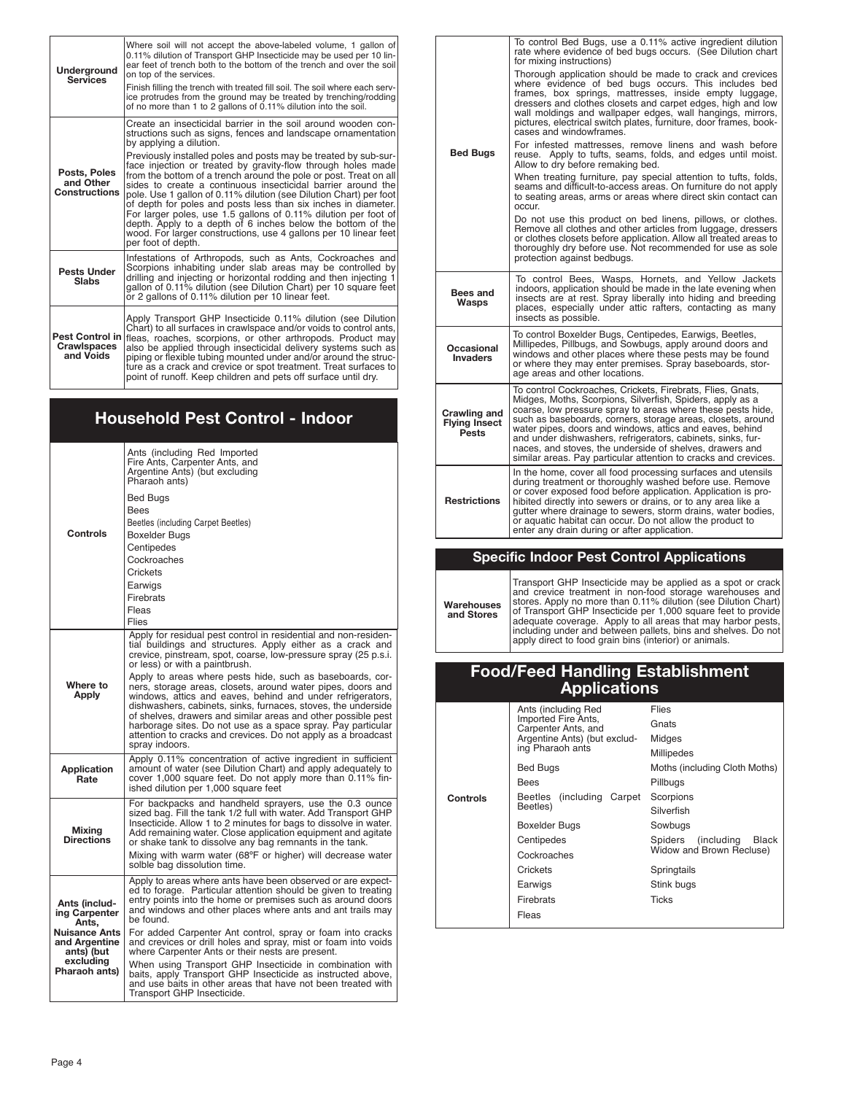| Underground<br><b>Services</b>                                                                                                                                                                                                                                                                                                                                                                                                                                                                                                                                                                                                                                                                                                                                                                                                                            | Where soil will not accept the above-labeled volume, 1 gallon of<br>0.11% dilution of Transport GHP Insecticide may be used per 10 lin-<br>ear feet of trench both to the bottom of the trench and over the soil<br>on top of the services.<br>Finish filling the trench with treated fill soil. The soil where each serv-<br>ice protrudes from the ground may be treated by trenching/rodding<br>of no more than 1 to 2 gallons of 0.11% dilution into the soil.           |
|-----------------------------------------------------------------------------------------------------------------------------------------------------------------------------------------------------------------------------------------------------------------------------------------------------------------------------------------------------------------------------------------------------------------------------------------------------------------------------------------------------------------------------------------------------------------------------------------------------------------------------------------------------------------------------------------------------------------------------------------------------------------------------------------------------------------------------------------------------------|------------------------------------------------------------------------------------------------------------------------------------------------------------------------------------------------------------------------------------------------------------------------------------------------------------------------------------------------------------------------------------------------------------------------------------------------------------------------------|
| Create an insecticidal barrier in the soil around wooden con-<br>structions such as signs, fences and landscape ornamentation<br>by applying a dilution.<br>Previously installed poles and posts may be treated by sub-sur-<br>face injection or treated by gravity-flow through holes made<br>Posts, Poles<br>from the bottom of a trench around the pole or post. Treat on all<br>and Other<br>sides to create a continuous insecticidal barrier around the<br><b>Constructions</b><br>pole. Use 1 gallon of 0.11% dilution (see Dilution Chart) per foot<br>of depth for poles and posts less than six inches in diameter.<br>For larger poles, use 1.5 gallons of 0.11% dilution per foot of<br>depth. Apply to a depth of 6 inches below the bottom of the<br>wood. For larger constructions, use 4 gallons per 10 linear feet<br>per foot of depth. |                                                                                                                                                                                                                                                                                                                                                                                                                                                                              |
| <b>Pests Under</b><br><b>Slabs</b>                                                                                                                                                                                                                                                                                                                                                                                                                                                                                                                                                                                                                                                                                                                                                                                                                        | Infestations of Arthropods, such as Ants, Cockroaches and<br>Scorpions inhabiting under slab areas may be controlled by<br>drilling and injecting or horizontal rodding and then injecting 1<br>gallon of 0.11% dilution (see Dilution Chart) per 10 square feet<br>or 2 gallons of 0.11% dilution per 10 linear feet.                                                                                                                                                       |
| <b>Pest Control in</b><br><b>Crawlspaces</b><br>and Voids                                                                                                                                                                                                                                                                                                                                                                                                                                                                                                                                                                                                                                                                                                                                                                                                 | Apply Transport GHP Insecticide 0.11% dilution (see Dilution<br>Chart) to all surfaces in crawlspace and/or voids to control ants,<br>fleas, roaches, scorpions, or other arthropods. Product may<br>also be applied through insecticidal delivery systems such as<br>piping or flexible tubing mounted under and/or around the struc-<br>ture as a crack and crevice or spot treatment. Treat surfaces to<br>point of runoff. Keep children and pets off surface until drv. |

|  | <b>Household Pest Control - Indoor</b>              |                                                                                                                                                                                                                                                                                                                                                                                                                                                                                                                                                                                                                                                                                                                   |  |
|--|-----------------------------------------------------|-------------------------------------------------------------------------------------------------------------------------------------------------------------------------------------------------------------------------------------------------------------------------------------------------------------------------------------------------------------------------------------------------------------------------------------------------------------------------------------------------------------------------------------------------------------------------------------------------------------------------------------------------------------------------------------------------------------------|--|
|  | <b>Controls</b>                                     | Ants (including Red Imported<br>Fire Ants, Carpenter Ants, and<br>Argentine Ants) (but excluding<br>Pharaoh ants)                                                                                                                                                                                                                                                                                                                                                                                                                                                                                                                                                                                                 |  |
|  |                                                     | Bed Bugs<br>Bees<br>Beetles (including Carpet Beetles)<br>Boxelder Bugs<br>Centipedes<br>Cockroaches<br>Crickets<br>Earwigs<br>Firebrats                                                                                                                                                                                                                                                                                                                                                                                                                                                                                                                                                                          |  |
|  |                                                     | Fleas<br>Flies                                                                                                                                                                                                                                                                                                                                                                                                                                                                                                                                                                                                                                                                                                    |  |
|  | Where to<br>Apply                                   | Apply for residual pest control in residential and non-residen-<br>tial buildings and structures. Apply either as a crack and<br>crevice, pinstream, spot, coarse, low-pressure spray (25 p.s.i.<br>or less) or with a paintbrush.<br>Apply to areas where pests hide, such as baseboards, cor-<br>ners, storage areas, closets, around water pipes, doors and<br>windows, attics and eaves, behind and under refrigerators,<br>dishwashers, cabinets, sinks, furnaces, stoves, the underside<br>of shelves, drawers and similar areas and other possible pest<br>harborage sites. Do not use as a space spray. Pay particular<br>attention to cracks and crevices. Do not apply as a broadcast<br>spray indoors. |  |
|  | <b>Application</b><br>Rate                          | Apply 0.11% concentration of active ingredient in sufficient<br>amount of water (see Dilution Chart) and apply adequately to<br>cover 1,000 square feet. Do not apply more than 0.11% fin-<br>ished dilution per 1,000 square feet                                                                                                                                                                                                                                                                                                                                                                                                                                                                                |  |
|  | Mixina<br><b>Directions</b>                         | For backpacks and handheld sprayers, use the 0.3 ounce<br>sized bag. Fill the tank 1/2 full with water. Add Transport GHP<br>Insecticide. Allow 1 to 2 minutes for bags to dissolve in water.<br>Add remaining water. Close application equipment and agitate<br>or shake tank to dissolve any bag remnants in the tank.<br>Mixing with warm water (68°F or higher) will decrease water<br>solble bag dissolution time.                                                                                                                                                                                                                                                                                           |  |
|  | Ants (includ-<br>ing Carpenter<br>Ants.             | Apply to areas where ants have been observed or are expect-<br>ed to forage. Particular attention should be given to treating<br>entry points into the home or premises such as around doors<br>and windows and other places where ants and ant trails may<br>be found.                                                                                                                                                                                                                                                                                                                                                                                                                                           |  |
|  | <b>Nuisance Ants</b><br>and Argentine<br>ants) (but | For added Carpenter Ant control, spray or foam into cracks<br>and crevices or drill holes and spray, mist or foam into voids<br>where Carpenter Ants or their nests are present.                                                                                                                                                                                                                                                                                                                                                                                                                                                                                                                                  |  |
|  | excluding<br>Pharaoh ants)                          | When using Transport GHP Insecticide in combination with<br>baits, apply Transport GHP Insecticide as instructed above,<br>and use baits in other areas that have not been treated with<br>Transport GHP Insecticide.                                                                                                                                                                                                                                                                                                                                                                                                                                                                                             |  |

|                                                      | To control Bed Bugs, use a 0.11% active ingredient dilution<br>rate where evidence of bed bugs occurs. (See Dilution chart<br>for mixing instructions)                                                                                                                                                                                                                                                                                                                                                          |
|------------------------------------------------------|-----------------------------------------------------------------------------------------------------------------------------------------------------------------------------------------------------------------------------------------------------------------------------------------------------------------------------------------------------------------------------------------------------------------------------------------------------------------------------------------------------------------|
|                                                      | Thorough application should be made to crack and crevices<br>where evidence of bed bugs occurs. This includes bed<br>frames, box springs, mattresses, inside empty luggage,<br>dressers and clothes closets and carpet edges, high and low<br>wall moldings and wallpaper edges, wall hangings, mirrors,<br>pictures, electrical switch plates, furniture, door frames, book-<br>cases and windowframes.                                                                                                        |
| <b>Bed Bugs</b>                                      | For infested mattresses, remove linens and wash before<br>reuse. Apply to tufts, seams, folds, and edges until moist.<br>Allow to dry before remaking bed.                                                                                                                                                                                                                                                                                                                                                      |
|                                                      | When treating furniture, pay special attention to tufts, folds,<br>seams and difficult-to-access areas. On furniture do not apply<br>to seating areas, arms or areas where direct skin contact can<br>occur.                                                                                                                                                                                                                                                                                                    |
|                                                      | Do not use this product on bed linens, pillows, or clothes.<br>Remove all clothes and other articles from luggage, dressers<br>or clothes closets before application. Allow all treated areas to<br>thoroughly dry before use. Not recommended for use as sole<br>protection against bedbugs.                                                                                                                                                                                                                   |
| Bees and<br>Wasps                                    | To control Bees, Wasps, Hornets, and Yellow Jackets<br>indoors, application should be made in the late evening when<br>insects are at rest. Spray liberally into hiding and breeding<br>places, especially under attic rafters, contacting as many<br>insects as possible.                                                                                                                                                                                                                                      |
| Occasional<br><b>Invaders</b>                        | To control Boxelder Bugs, Centipedes, Earwigs, Beetles,<br>Millipedes, Pillbugs, and Sowbugs, apply around doors and<br>windows and other places where these pests may be found<br>or where they may enter premises. Spray baseboards, stor-<br>age areas and other locations.                                                                                                                                                                                                                                  |
| Crawling and<br><b>Flying Insect</b><br><b>Pests</b> | To control Cockroaches, Crickets, Firebrats, Flies, Gnats,<br>Midges, Moths, Scorpions, Silverfish, Spiders, apply as a<br>coarse, low pressure spray to areas where these pests hide,<br>such as baseboards, corners, storage areas, closets, around<br>water pipes, doors and windows, attics and eaves, behind<br>and under dishwashers, refrigerators, cabinets, sinks, fur-<br>naces, and stoves, the underside of shelves, drawers and<br>similar areas. Pay particular attention to cracks and crevices. |
| <b>Restrictions</b>                                  | In the home, cover all food processing surfaces and utensils<br>during treatment or thoroughly washed before use. Remove<br>or cover exposed food before application. Application is pro-<br>hibited directly into sewers or drains, or to any area like a<br>quiter where drainage to sewers, storm drains, water bodies,<br>or aquatic habitat can occur. Do not allow the product to<br>enter any drain during or after application.                                                                         |

# **Specific Indoor Pest Control Applications**

**Warehouses and Stores** Transport GHP Insecticide may be applied as a spot or crack<br>and crevice treatment in non-food storage warehouses and<br>stores. Apply no more than 0.11% dilution (see Dilution Chart)<br>of Transport GHP Insecticide per 1,000 squ

# **Food/Feed Handling Establishment Applications**

|          | Ants (including Red                        | Flies                         |
|----------|--------------------------------------------|-------------------------------|
|          | Imported Fire Ants,<br>Carpenter Ants, and | Gnats                         |
|          | Argentine Ants) (but exclud-               | Midges                        |
|          | ing Pharaoh ants                           | Millipedes                    |
|          | <b>Bed Bugs</b>                            | Moths (including Cloth Moths) |
|          | <b>Bees</b>                                | Pillbugs                      |
| Controls | Beetles (including Carpet                  | Scorpions                     |
|          | Beetles)                                   | Silverfish                    |
|          | Boxelder Bugs                              | Sowbugs                       |
|          | Centipedes                                 | Spiders (including<br>Black   |
|          | Cockroaches                                | Widow and Brown Recluse)      |
|          | Crickets                                   | Springtails                   |
|          | Earwigs                                    | Stink bugs                    |
|          | Firebrats                                  | Ticks                         |
|          | Fleas                                      |                               |
|          |                                            |                               |